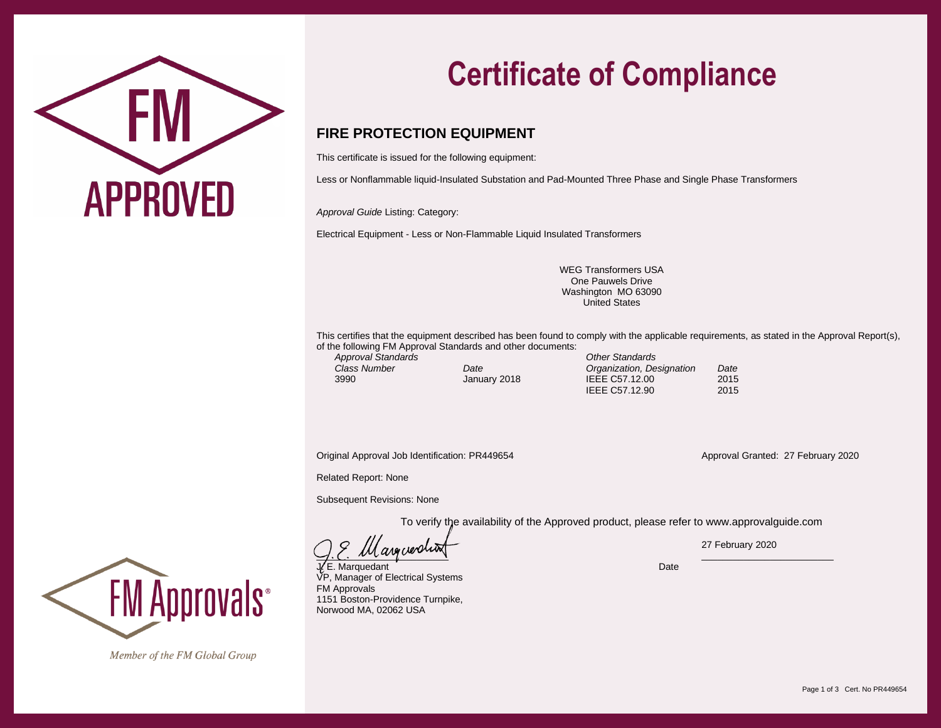

## **Certificate of Compliance**

## **FIRE PROTECTION EQUIPMENT**

This certificate is issued for the following equipment:

Less or Nonflammable liquid-Insulated Substation and Pad-Mounted Three Phase and Single Phase Transformers

*Approval Guide* Listing: Category:

Electrical Equipment - Less or Non-Flammable Liquid Insulated Transformers

WEG Transformers USA One Pauwels Drive Washington MO 63090 United States

This certifies that the equipment described has been found to comply with the applicable requirements, as stated in the Approval Report(s), of the following FM Approval Standards and other documents: *Approval Standards Other Standards*

*Class Number Date Organization, Designation Date* **JEEE C57.12.00** IEEE C57.12.90 2015

Original Approval Job Identification: PR449654 Approval Granted: 27 February 2020

Related Report: None

Subsequent Revisions: None

To verify the availability of the Approved product, please refer to www.approvalguide.com

 $\Box$ 

**E. Marquedant Date (2008)** Date (2009) A Series (2009) A Series (2009) Date (2009) Date (2009) Date VP, Manager of Electrical Systems FM Approvals 1151 Boston-Providence Turnpike, Norwood MA, 02062 USA

27 February 2020



Member of the FM Global Group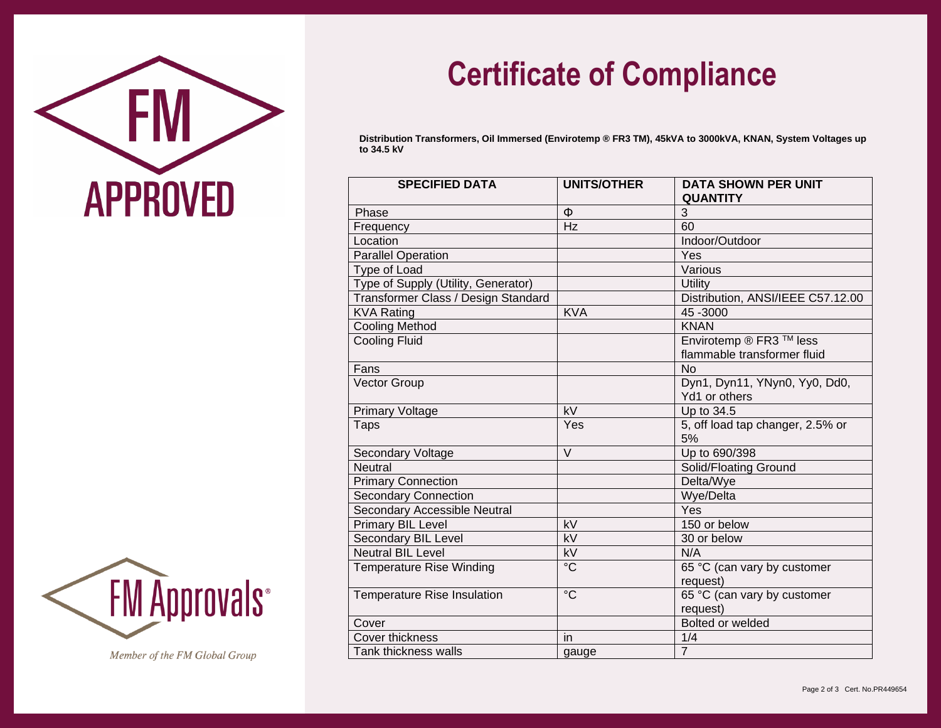



Member of the FM Global Group

## **Certificate of Compliance**

**Distribution Transformers, Oil Immersed (Envirotemp ® FR3 TM), 45kVA to 3000kVA, KNAN, System Voltages up to 34.5 kV**

| <b>SPECIFIED DATA</b>               | <b>UNITS/OTHER</b> | <b>DATA SHOWN PER UNIT</b><br><b>QUANTITY</b> |
|-------------------------------------|--------------------|-----------------------------------------------|
| Phase                               | Φ                  | 3                                             |
| Frequency                           | Hz                 | 60                                            |
| Location                            |                    | Indoor/Outdoor                                |
| <b>Parallel Operation</b>           |                    | Yes                                           |
| Type of Load                        |                    | Various                                       |
| Type of Supply (Utility, Generator) |                    | Utility                                       |
| Transformer Class / Design Standard |                    | Distribution, ANSI/IEEE C57.12.00             |
| <b>KVA Rating</b>                   | <b>KVA</b>         | 45 - 3000                                     |
| <b>Cooling Method</b>               |                    | <b>KNAN</b>                                   |
| <b>Cooling Fluid</b>                |                    | Envirotemp ® FR3 <sup>™</sup> less            |
|                                     |                    | flammable transformer fluid                   |
| Fans                                |                    | <b>No</b>                                     |
| <b>Vector Group</b>                 |                    | Dyn1, Dyn11, YNyn0, Yy0, Dd0,                 |
|                                     |                    | Yd1 or others                                 |
| <b>Primary Voltage</b>              | kV                 | Up to 34.5                                    |
| <b>Taps</b>                         | Yes                | 5, off load tap changer, 2.5% or              |
|                                     |                    | 5%                                            |
| Secondary Voltage                   | $\vee$             | Up to 690/398                                 |
| <b>Neutral</b>                      |                    | Solid/Floating Ground                         |
| <b>Primary Connection</b>           |                    | Delta/Wye                                     |
| <b>Secondary Connection</b>         |                    | Wye/Delta                                     |
| Secondary Accessible Neutral        |                    | Yes                                           |
| <b>Primary BIL Level</b>            | kV                 | 150 or below                                  |
| Secondary BIL Level                 | $\overline{kV}$    | 30 or below                                   |
| <b>Neutral BIL Level</b>            | kV                 | N/A                                           |
| <b>Temperature Rise Winding</b>     | $\rm ^{\circ}C$    | 65 °C (can vary by customer                   |
|                                     |                    | request)                                      |
| <b>Temperature Rise Insulation</b>  | $\rm ^{\circ}C$    | 65 °C (can vary by customer                   |
|                                     |                    | request)                                      |
| Cover                               |                    | Bolted or welded                              |
| <b>Cover thickness</b>              | in                 | 1/4                                           |
| Tank thickness walls                | gauge              | $\overline{7}$                                |